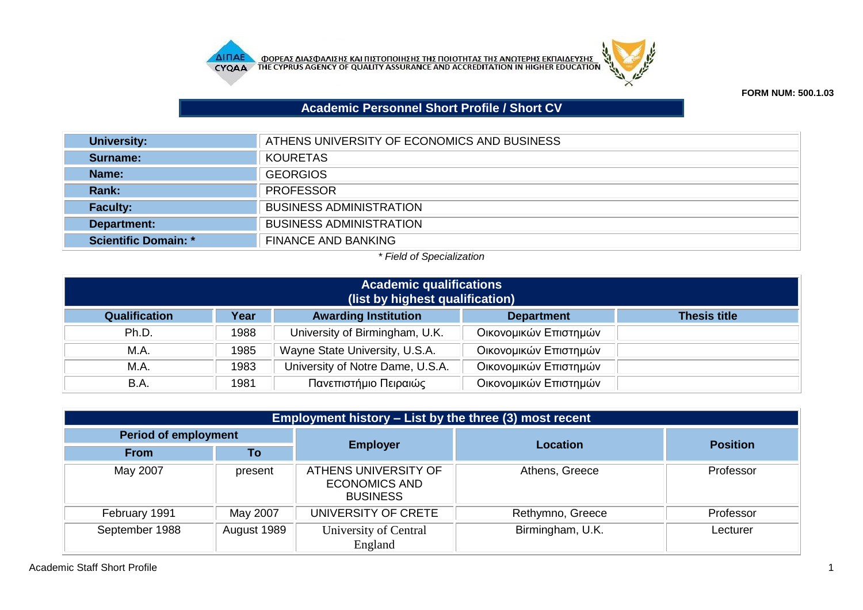



**FORM NUM: 500.1.03**

## **Academic Personnel Short Profile / Short CV**

| University:                 | ATHENS UNIVERSITY OF ECONOMICS AND BUSINESS |
|-----------------------------|---------------------------------------------|
| Surname:                    | <b>KOURETAS</b>                             |
| Name:                       | <b>GEORGIOS</b>                             |
| <b>Rank:</b>                | <b>PROFESSOR</b>                            |
| <b>Faculty:</b>             | <b>BUSINESS ADMINISTRATION</b>              |
| Department:                 | <b>BUSINESS ADMINISTRATION</b>              |
| <b>Scientific Domain: *</b> | <b>FINANCE AND BANKING</b>                  |

## *\* Field of Specialization*

| <b>Academic qualifications</b><br>(list by highest qualification)                                |      |                                  |                       |  |  |  |
|--------------------------------------------------------------------------------------------------|------|----------------------------------|-----------------------|--|--|--|
| <b>Awarding Institution</b><br>Qualification<br>Year<br><b>Thesis title</b><br><b>Department</b> |      |                                  |                       |  |  |  |
| Ph.D.                                                                                            | 1988 | University of Birmingham, U.K.   | Οικονομικών Επιστημών |  |  |  |
| M.A.                                                                                             | 1985 | Wayne State University, U.S.A.   | Οικονομικών Επιστημών |  |  |  |
| M.A.                                                                                             | 1983 | University of Notre Dame, U.S.A. | Οικονομικών Επιστημών |  |  |  |
| B.A.                                                                                             | 1981 | Πανεπιστήμιο Πειραιώς            | Οικονομικών Επιστημών |  |  |  |

| Employment history – List by the three (3) most recent |             |                                                                 |                  |                 |  |
|--------------------------------------------------------|-------------|-----------------------------------------------------------------|------------------|-----------------|--|
| <b>Period of employment</b>                            |             |                                                                 | <b>Location</b>  |                 |  |
| <b>From</b>                                            | To          | <b>Employer</b>                                                 |                  | <b>Position</b> |  |
| May 2007                                               | present     | ATHENS UNIVERSITY OF<br><b>ECONOMICS AND</b><br><b>BUSINESS</b> | Athens, Greece   | Professor       |  |
| February 1991                                          | May 2007    | UNIVERSITY OF CRETE                                             | Rethymno, Greece | Professor       |  |
| September 1988                                         | August 1989 | University of Central<br>England                                | Birmingham, U.K. | Lecturer        |  |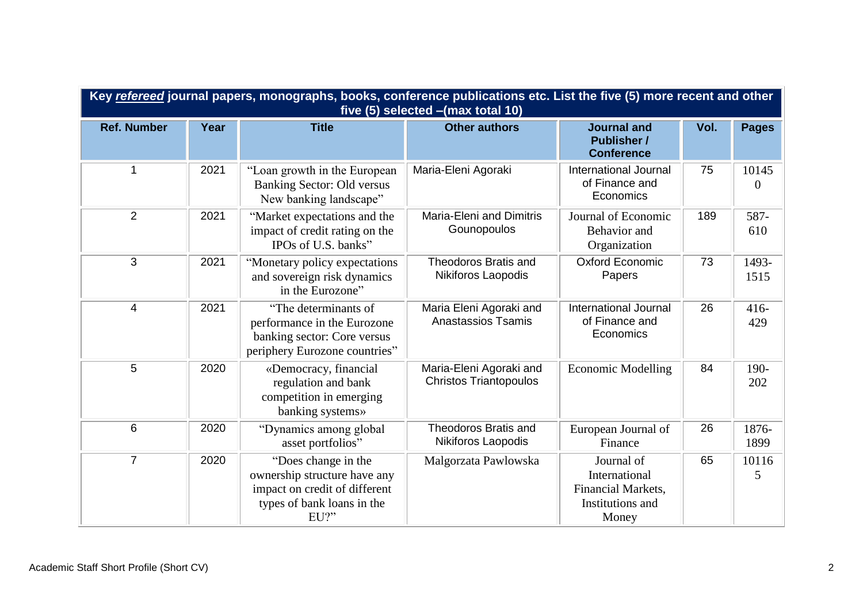| Key refereed journal papers, monographs, books, conference publications etc. List the five (5) more recent and other<br>five (5) selected - (max total 10) |      |                                                                                                                            |                                                          |                                                                                |      |                   |
|------------------------------------------------------------------------------------------------------------------------------------------------------------|------|----------------------------------------------------------------------------------------------------------------------------|----------------------------------------------------------|--------------------------------------------------------------------------------|------|-------------------|
| <b>Ref. Number</b>                                                                                                                                         | Year | <b>Title</b>                                                                                                               | <b>Other authors</b>                                     | <b>Journal and</b><br><b>Publisher /</b><br><b>Conference</b>                  | Vol. | <b>Pages</b>      |
|                                                                                                                                                            | 2021 | "Loan growth in the European<br><b>Banking Sector: Old versus</b><br>New banking landscape"                                | Maria-Eleni Agoraki                                      | <b>International Journal</b><br>of Finance and<br>Economics                    | 75   | 10145<br>$\Omega$ |
| $\overline{2}$                                                                                                                                             | 2021 | "Market expectations and the<br>impact of credit rating on the<br>IPOs of U.S. banks"                                      | <b>Maria-Eleni and Dimitris</b><br>Gounopoulos           | Journal of Economic<br>Behavior and<br>Organization                            | 189  | 587-<br>610       |
| 3                                                                                                                                                          | 2021 | "Monetary policy expectations<br>and sovereign risk dynamics<br>in the Eurozone"                                           | <b>Theodoros Bratis and</b><br>Nikiforos Laopodis        | <b>Oxford Economic</b><br>Papers                                               | 73   | 1493-<br>1515     |
| $\overline{4}$                                                                                                                                             | 2021 | "The determinants of<br>performance in the Eurozone<br>banking sector: Core versus<br>periphery Eurozone countries"        | Maria Eleni Agoraki and<br><b>Anastassios Tsamis</b>     | <b>International Journal</b><br>of Finance and<br>Economics                    | 26   | $416 -$<br>429    |
| 5                                                                                                                                                          | 2020 | «Democracy, financial<br>regulation and bank<br>competition in emerging<br>banking systems»                                | Maria-Eleni Agoraki and<br><b>Christos Triantopoulos</b> | <b>Economic Modelling</b>                                                      | 84   | 190-<br>202       |
| 6                                                                                                                                                          | 2020 | "Dynamics among global<br>asset portfolios"                                                                                | <b>Theodoros Bratis and</b><br>Nikiforos Laopodis        | European Journal of<br>Finance                                                 | 26   | 1876-<br>1899     |
| $\overline{7}$                                                                                                                                             | 2020 | "Does change in the<br>ownership structure have any<br>impact on credit of different<br>types of bank loans in the<br>EU?" | Malgorzata Pawlowska                                     | Journal of<br>International<br>Financial Markets,<br>Institutions and<br>Money | 65   | 10116<br>5        |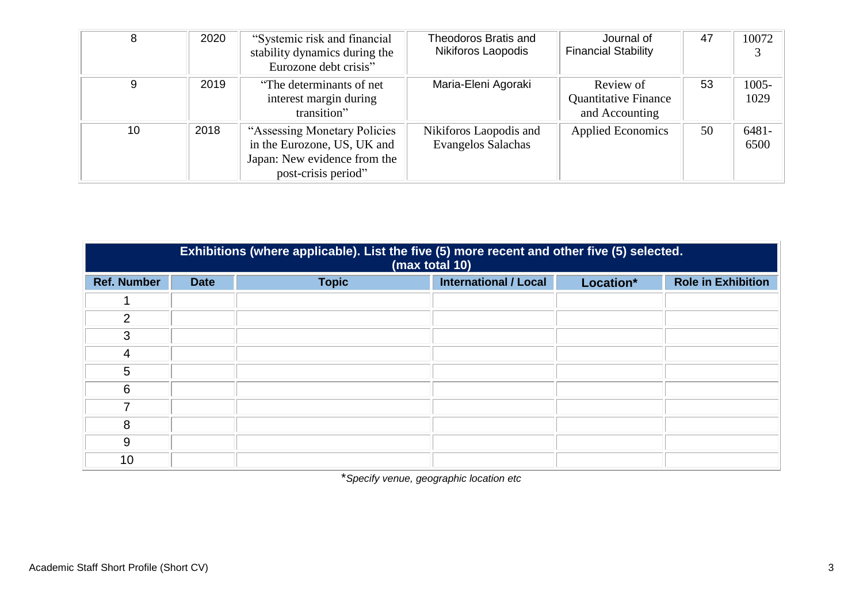| 8  | 2020 | "Systemic risk and financial<br>stability dynamics during the<br>Eurozone debt crisis"                              | Theodoros Bratis and<br>Nikiforos Laopodis          | Journal of<br><b>Financial Stability</b>                   | -47 | 10072            |
|----|------|---------------------------------------------------------------------------------------------------------------------|-----------------------------------------------------|------------------------------------------------------------|-----|------------------|
| 9  | 2019 | "The determinants of net"<br>interest margin during<br>transition"                                                  | Maria-Eleni Agoraki                                 | Review of<br><b>Quantitative Finance</b><br>and Accounting | 53  | $1005 -$<br>1029 |
| 10 | 2018 | "Assessing Monetary Policies"<br>in the Eurozone, US, UK and<br>Japan: New evidence from the<br>post-crisis period" | Nikiforos Laopodis and<br><b>Evangelos Salachas</b> | <b>Applied Economics</b>                                   | 50  | $6481 -$<br>6500 |

|                    | Exhibitions (where applicable). List the five (5) more recent and other five (5) selected.<br>(max total 10) |              |                              |           |                           |  |  |
|--------------------|--------------------------------------------------------------------------------------------------------------|--------------|------------------------------|-----------|---------------------------|--|--|
| <b>Ref. Number</b> | <b>Date</b>                                                                                                  | <b>Topic</b> | <b>International / Local</b> | Location* | <b>Role in Exhibition</b> |  |  |
|                    |                                                                                                              |              |                              |           |                           |  |  |
| $\overline{2}$     |                                                                                                              |              |                              |           |                           |  |  |
| 3                  |                                                                                                              |              |                              |           |                           |  |  |
| 4                  |                                                                                                              |              |                              |           |                           |  |  |
| 5                  |                                                                                                              |              |                              |           |                           |  |  |
| 6                  |                                                                                                              |              |                              |           |                           |  |  |
| 7                  |                                                                                                              |              |                              |           |                           |  |  |
| 8                  |                                                                                                              |              |                              |           |                           |  |  |
| 9                  |                                                                                                              |              |                              |           |                           |  |  |
| 10                 |                                                                                                              |              |                              |           |                           |  |  |

\**Specify venue, geographic location etc*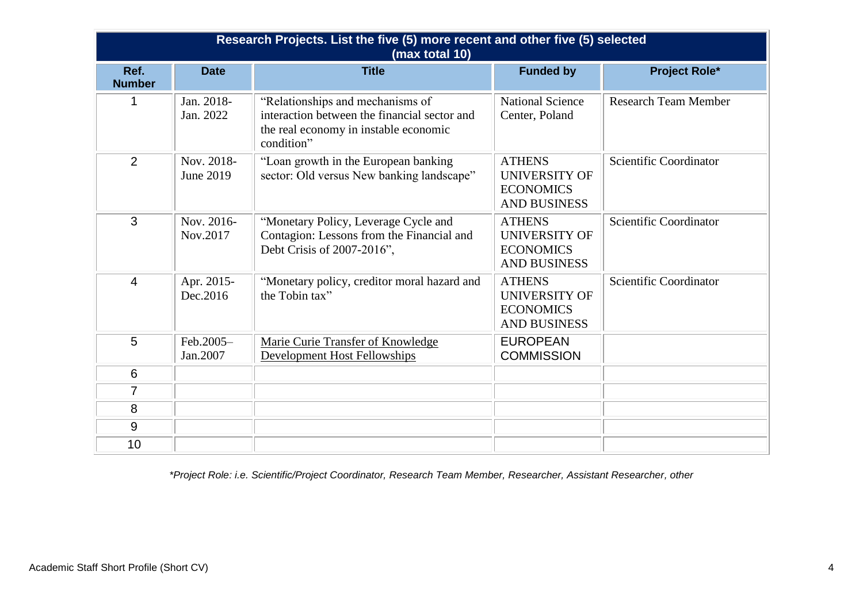| Research Projects. List the five (5) more recent and other five (5) selected<br>(max total 10) |                         |                                                                                                                                         |                                                                                  |                             |  |  |
|------------------------------------------------------------------------------------------------|-------------------------|-----------------------------------------------------------------------------------------------------------------------------------------|----------------------------------------------------------------------------------|-----------------------------|--|--|
| Ref.<br><b>Number</b>                                                                          | <b>Date</b>             | <b>Title</b>                                                                                                                            | <b>Funded by</b>                                                                 | <b>Project Role*</b>        |  |  |
| 1                                                                                              | Jan. 2018-<br>Jan. 2022 | "Relationships and mechanisms of<br>interaction between the financial sector and<br>the real economy in instable economic<br>condition" | <b>National Science</b><br>Center, Poland                                        | <b>Research Team Member</b> |  |  |
| $\overline{2}$                                                                                 | Nov. 2018-<br>June 2019 | "Loan growth in the European banking<br>sector: Old versus New banking landscape"                                                       | <b>ATHENS</b><br><b>UNIVERSITY OF</b><br><b>ECONOMICS</b><br><b>AND BUSINESS</b> | Scientific Coordinator      |  |  |
| 3                                                                                              | Nov. 2016-<br>Nov.2017  | "Monetary Policy, Leverage Cycle and<br>Contagion: Lessons from the Financial and<br>Debt Crisis of 2007-2016",                         | <b>ATHENS</b><br><b>UNIVERSITY OF</b><br><b>ECONOMICS</b><br><b>AND BUSINESS</b> | Scientific Coordinator      |  |  |
| 4                                                                                              | Apr. 2015-<br>Dec.2016  | "Monetary policy, creditor moral hazard and<br>the Tobin tax"                                                                           | <b>ATHENS</b><br>UNIVERSITY OF<br><b>ECONOMICS</b><br><b>AND BUSINESS</b>        | Scientific Coordinator      |  |  |
| 5                                                                                              | Feb.2005-<br>Jan.2007   | Marie Curie Transfer of Knowledge<br><b>Development Host Fellowships</b>                                                                | <b>EUROPEAN</b><br><b>COMMISSION</b>                                             |                             |  |  |
| 6                                                                                              |                         |                                                                                                                                         |                                                                                  |                             |  |  |
| $\overline{7}$                                                                                 |                         |                                                                                                                                         |                                                                                  |                             |  |  |
| 8                                                                                              |                         |                                                                                                                                         |                                                                                  |                             |  |  |
| 9                                                                                              |                         |                                                                                                                                         |                                                                                  |                             |  |  |
| 10                                                                                             |                         |                                                                                                                                         |                                                                                  |                             |  |  |

*\*Project Role: i.e. Scientific/Project Coordinator, Research Team Member, Researcher, Assistant Researcher, other*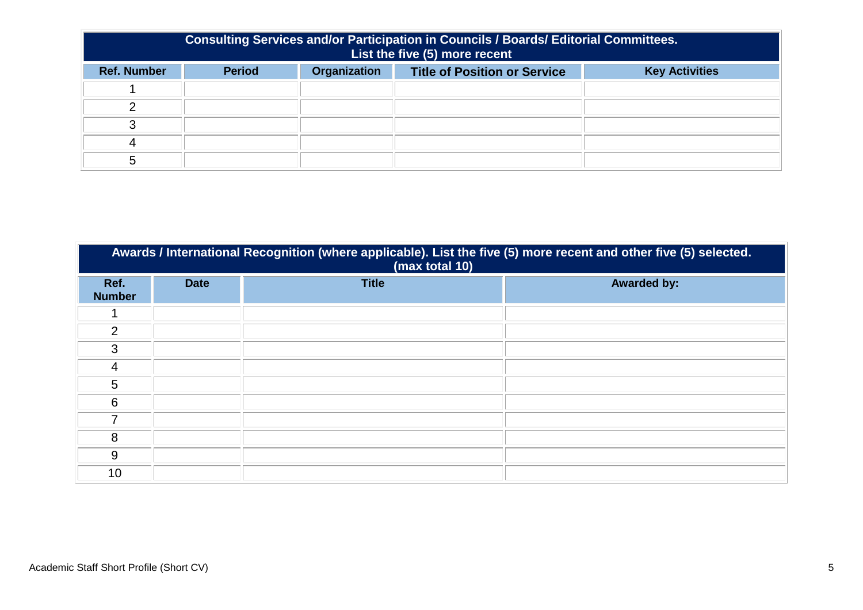| <b>Consulting Services and/or Participation in Councils / Boards/ Editorial Committees.</b><br>List the five (5) more recent |                                                                                                      |  |  |  |  |  |  |
|------------------------------------------------------------------------------------------------------------------------------|------------------------------------------------------------------------------------------------------|--|--|--|--|--|--|
| <b>Ref. Number</b>                                                                                                           | <b>Organization</b><br><b>Period</b><br><b>Title of Position or Service</b><br><b>Key Activities</b> |  |  |  |  |  |  |
|                                                                                                                              |                                                                                                      |  |  |  |  |  |  |
|                                                                                                                              |                                                                                                      |  |  |  |  |  |  |
|                                                                                                                              |                                                                                                      |  |  |  |  |  |  |
|                                                                                                                              |                                                                                                      |  |  |  |  |  |  |
|                                                                                                                              |                                                                                                      |  |  |  |  |  |  |

| Awards / International Recognition (where applicable). List the five (5) more recent and other five (5) selected.<br>(max total 10) |             |              |                    |  |  |  |
|-------------------------------------------------------------------------------------------------------------------------------------|-------------|--------------|--------------------|--|--|--|
| Ref.<br><b>Number</b>                                                                                                               | <b>Date</b> | <b>Title</b> | <b>Awarded by:</b> |  |  |  |
|                                                                                                                                     |             |              |                    |  |  |  |
| 2                                                                                                                                   |             |              |                    |  |  |  |
| 3                                                                                                                                   |             |              |                    |  |  |  |
| 4                                                                                                                                   |             |              |                    |  |  |  |
| 5                                                                                                                                   |             |              |                    |  |  |  |
| 6                                                                                                                                   |             |              |                    |  |  |  |
| 7                                                                                                                                   |             |              |                    |  |  |  |
| 8                                                                                                                                   |             |              |                    |  |  |  |
| 9                                                                                                                                   |             |              |                    |  |  |  |
| 10                                                                                                                                  |             |              |                    |  |  |  |